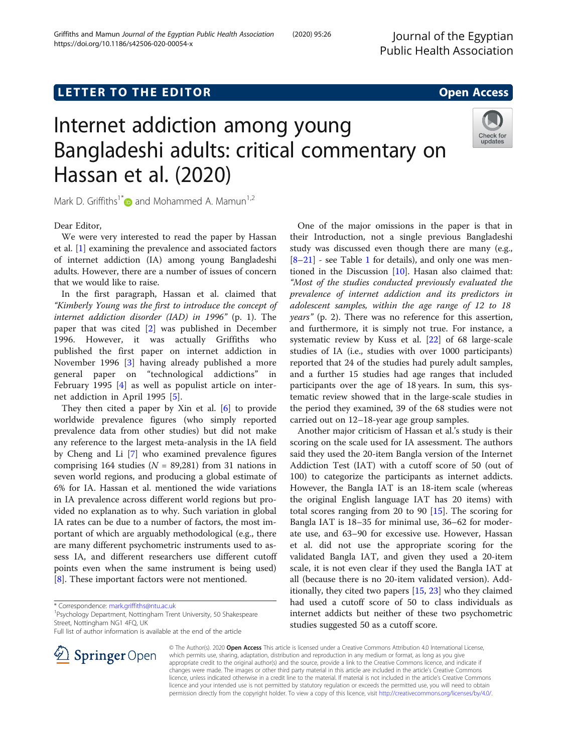Journal of the Egyptian

# LETTER TO THE EDITOR **CONTROLL CONTROLLER TO THE EDITOR** CONTROLLER TO THE SAME ACCESS

# Internet addiction among young Bangladeshi adults: critical commentary on Hassan et al. (2020)



Mark D. Griffiths<sup>1[\\*](http://orcid.org/0000-0001-8880-6524)</sup> $\bullet$  and Mohammed A. Mamun<sup>1,2</sup>

Dear Editor,

We were very interested to read the paper by Hassan et al. [\[1](#page-2-0)] examining the prevalence and associated factors of internet addiction (IA) among young Bangladeshi adults. However, there are a number of issues of concern that we would like to raise.

In the first paragraph, Hassan et al. claimed that "Kimberly Young was the first to introduce the concept of internet addiction disorder (IAD) in 1996" (p. 1). The paper that was cited [[2\]](#page-2-0) was published in December 1996. However, it was actually Griffiths who published the first paper on internet addiction in November 1996 [[3\]](#page-2-0) having already published a more general paper on "technological addictions" in February 1995 [\[4](#page-2-0)] as well as populist article on internet addiction in April 1995 [\[5](#page-2-0)].

They then cited a paper by Xin et al. [[6\]](#page-2-0) to provide worldwide prevalence figures (who simply reported prevalence data from other studies) but did not make any reference to the largest meta-analysis in the IA field by Cheng and Li [\[7\]](#page-2-0) who examined prevalence figures comprising 164 studies ( $N = 89,281$ ) from 31 nations in seven world regions, and producing a global estimate of 6% for IA. Hassan et al. mentioned the wide variations in IA prevalence across different world regions but provided no explanation as to why. Such variation in global IA rates can be due to a number of factors, the most important of which are arguably methodological (e.g., there are many different psychometric instruments used to assess IA, and different researchers use different cutoff points even when the same instrument is being used) [[8\]](#page-3-0). These important factors were not mentioned.

<sup>1</sup> Psychology Department, Nottingham Trent University, 50 Shakespeare Street, Nottingham NG1 4FQ, UK

Full list of author information is available at the end of the article

One of the major omissions in the paper is that in their Introduction, not a single previous Bangladeshi study was discussed even though there are many (e.g.,  $[8-21]$  $[8-21]$  $[8-21]$  $[8-21]$  - see Table [1](#page-1-0) for details), and only one was mentioned in the Discussion [\[10](#page-3-0)]. Hasan also claimed that: "Most of the studies conducted previously evaluated the prevalence of internet addiction and its predictors in adolescent samples, within the age range of 12 to 18 years" (p. 2). There was no reference for this assertion, and furthermore, it is simply not true. For instance, a systematic review by Kuss et al. [[22\]](#page-3-0) of 68 large-scale studies of IA (i.e., studies with over 1000 participants) reported that 24 of the studies had purely adult samples, and a further 15 studies had age ranges that included participants over the age of 18 years. In sum, this systematic review showed that in the large-scale studies in the period they examined, 39 of the 68 studies were not carried out on 12–18-year age group samples.

Another major criticism of Hassan et al.'s study is their scoring on the scale used for IA assessment. The authors said they used the 20-item Bangla version of the Internet Addiction Test (IAT) with a cutoff score of 50 (out of 100) to categorize the participants as internet addicts. However, the Bangla IAT is an 18-item scale (whereas the original English language IAT has 20 items) with total scores ranging from 20 to 90 [\[15\]](#page-3-0). The scoring for Bangla IAT is 18–35 for minimal use, 36–62 for moderate use, and 63–90 for excessive use. However, Hassan et al. did not use the appropriate scoring for the validated Bangla IAT, and given they used a 20-item scale, it is not even clear if they used the Bangla IAT at all (because there is no 20-item validated version). Additionally, they cited two papers [[15,](#page-3-0) [23\]](#page-3-0) who they claimed had used a cutoff score of 50 to class individuals as internet addicts but neither of these two psychometric studies suggested 50 as a cutoff score.



© The Author(s). 2020 Open Access This article is licensed under a Creative Commons Attribution 4.0 International License, which permits use, sharing, adaptation, distribution and reproduction in any medium or format, as long as you give appropriate credit to the original author(s) and the source, provide a link to the Creative Commons licence, and indicate if changes were made. The images or other third party material in this article are included in the article's Creative Commons licence, unless indicated otherwise in a credit line to the material. If material is not included in the article's Creative Commons licence and your intended use is not permitted by statutory regulation or exceeds the permitted use, you will need to obtain permission directly from the copyright holder. To view a copy of this licence, visit <http://creativecommons.org/licenses/by/4.0/>.

<sup>\*</sup> Correspondence: [mark.griffiths@ntu.ac.uk](mailto:mark.griffiths@ntu.ac.uk) <sup>1</sup>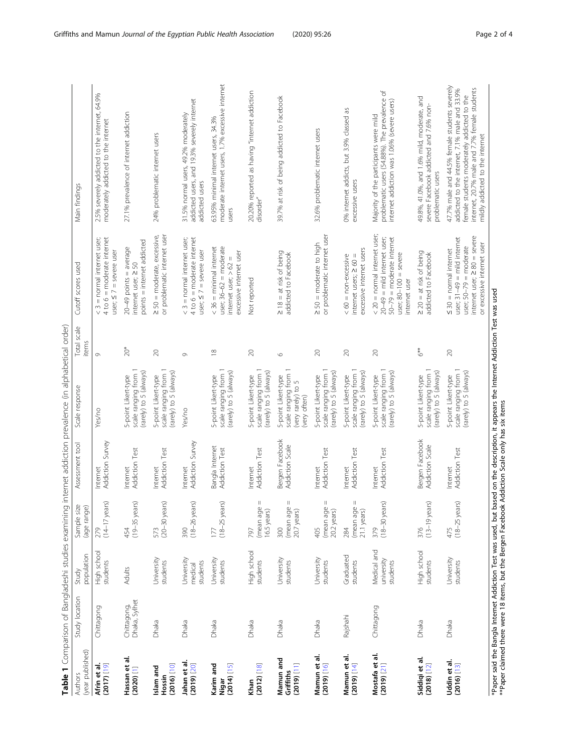<span id="page-1-0"></span>

|                                         | <b>Lary L</b> Android, Botton Decision 1991, Decision 1992. |                                       |                                                   |                                          | <b>Product of the Second Construction of the Second Second Second Second Second Second Second Second Second Second Second Second Second Second Second Second Second Second Second Second Second Second Second Second Second Seco</b> |                      |                                                                                                                                                        |                                                                                                                                                                                                                                 |
|-----------------------------------------|-------------------------------------------------------------|---------------------------------------|---------------------------------------------------|------------------------------------------|--------------------------------------------------------------------------------------------------------------------------------------------------------------------------------------------------------------------------------------|----------------------|--------------------------------------------------------------------------------------------------------------------------------------------------------|---------------------------------------------------------------------------------------------------------------------------------------------------------------------------------------------------------------------------------|
| (year published)<br><b>Authors</b>      | Study location                                              | population<br>Study                   | Sample size<br>(age range)                        | Assessment tool                          | Scale response                                                                                                                                                                                                                       | Total scale<br>items | Cutoff scores used                                                                                                                                     | Main findings                                                                                                                                                                                                                   |
| $(2017)$ [19]<br>Afrin et al            | Chittagong                                                  | High school<br>students               | $(14-17)$ years)<br>279                           | Addiction Survey<br>Internet             | Yes/no                                                                                                                                                                                                                               | $\circ$              | $4 to 6 =$ moderate internet<br>$<$ 3 = normal internet user;<br>$user; 57 = severe user$                                                              | 2.5% severely addicted to the internet, 64.9%<br>moderately addicted to the internet                                                                                                                                            |
| Hassan et al.<br>(2020) [1]             | Chittagong,<br>Dhaka, Sylhet                                | <b>Adults</b>                         | $(19-35 \text{ years})$<br>454                    | <b>Addiction Test</b><br>Internet        | scale ranging from 1<br>(rarely) to 5 (always)<br>5-point Likert-type                                                                                                                                                                | $20*$                | points = internet addicted<br>$20-49$ points = average<br>internet user; ≥ 50                                                                          | 27.1% prevalence of internet addiction                                                                                                                                                                                          |
| [2016]<br>Islam and<br>Hossin           | Dhaka                                                       | University<br>students                | $(20-30 \,\text{years})$<br>573                   | Addiction Test<br>Internet               | scale ranging from 1<br>(rarely) to 5 (always)<br>5-point Likert-type                                                                                                                                                                | $\gtrsim$            | $\geq$ 50 = moderate, excessive,<br>or problematic internet user                                                                                       | 24% problematic internet users                                                                                                                                                                                                  |
| Jahan et al.<br>(2019) [20]             | Dhaka                                                       | University<br>students<br>medical     | 390<br>(18-26 years)                              | Addiction Survey<br>Internet             | Yes/no                                                                                                                                                                                                                               | Ō                    | $<$ 3 = normal internet user;<br>$4$ to $6 =$ moderate internet<br>$user; S7 = severe user$                                                            | addicted users, and 19.3% severely internet<br>31.5% normal users, 49.2% moderately<br>addicted users                                                                                                                           |
| Karim and<br>[2014] [15]<br>Nigar       | Dhaka                                                       | University<br>students                | $(18-25 \text{ years})$<br>177                    | Bangla Internet<br><b>Addiction Test</b> | scale ranging from 1<br>(rarely) to 5 (always)<br>5-point Likert-type                                                                                                                                                                | $\frac{\infty}{2}$   | $<$ 36 = minimal internet<br>user; $36-62$ = moderate<br>excessive internet user<br>internet user; >62                                                 | moderate internet users, 1.7% excessive internet<br>63.95% minimal internet users, 34.3%<br>users                                                                                                                               |
| Khan<br>(2012) [18]                     | Dhaka                                                       | High school<br>students               | $\mathsf{I}$<br>(mean age<br>16.5 years)<br>797   | Addiction Test<br>Internet               | scale ranging from 1<br>(rarely) to 5 (always)<br>5-point Likert-type                                                                                                                                                                | $\approx$            | Not reported                                                                                                                                           | 20.20% reported as having "internet addiction<br>disorder"                                                                                                                                                                      |
| Mamun and<br>$[11]$ (2019)<br>Griffiths | Dhaka                                                       | University<br>students                | $\mid \mid$<br>(mean age<br>20.7 years)<br>300    | Bergen Facebook<br>Addiction Scale       | scale ranging from<br>5-point Likert-type<br>(very rarely) to 5<br>(very often)                                                                                                                                                      | $\circ$              | $\geq$ 18 = at risk of being<br>addicted to Facebook                                                                                                   | 39.7% at risk of being addicted to Facebook                                                                                                                                                                                     |
| ಕ<br>Mamun et<br>$[01]$ (610Z)          | Dhaka                                                       | University<br>students                | $\, \parallel$<br>(mean age<br>20.2 years)<br>405 | Addiction Test<br>Internet               | scale ranging from 1<br>(rarely) to 5 (always)<br>5-point Likert-type                                                                                                                                                                | $\gtrsim$            | or problematic internet user<br>$\geq$ 50 = moderate to high                                                                                           | 32.6% problematic internet users                                                                                                                                                                                                |
| ಕ<br>Mamun et<br>$[14]$ (2019)          | Rajshahi                                                    | Graduated<br>students                 | Ш<br>(mean age<br>21.1 years)<br>284              | Addiction Test<br>Internet               | scale ranging from 1<br>(rarely) to 5 (always)<br>5-point Likert-type                                                                                                                                                                | $\gtrsim$            | excessive internet users<br>$< 60$ = non-excessive<br>internet users; ≥ 60                                                                             | 0% internet addicts, but 3.9% classed as<br>excessive users                                                                                                                                                                     |
| Mostafa et al.<br>(2019) [21]           | Chittagong                                                  | Medical and<br>university<br>students | $\frac{379}{(18-30 \text{ years})}$               | <b>Addiction Test</b><br>Internet        | (rarely) to 5 (always)<br>scale ranging from<br>5-point Likert-type                                                                                                                                                                  | $\gtrsim$            | < 20 = normal internet user;<br>$50-79$ = moderate internet<br>$20-49 =$ mild internet user;<br>user; $80-100 =$ severe<br>internet user               | $\sqrt{2}$<br>problematic users (54.88%). The prevalence<br>intemet addiction was 1.06% (severe users)<br>Majority of the participants were mild                                                                                |
| Siddiqi et al.<br>(2018) [12]           | Dhaka                                                       | High school<br>students               | ĩS)<br>$(13-19)$ yea<br>376                       | Bergen Facebook<br>Addiction Scale       | scale ranging from 1<br>(rarely) to 5 (always)<br>5-point Likert-type                                                                                                                                                                | $6**$                | $\geq$ 20 = at risk of being<br>addicted to Facebook                                                                                                   | 49.8%, 41.0%, and 1.6% mild, moderate, and<br>severe Facebook addicted and 7.6% non-<br>problematic users                                                                                                                       |
| Uddin et al.<br>(2016)[13]              | Dhaka                                                       | University<br>students                | $(18-25 \text{ years})$<br>475                    | <b>Addiction Test</b><br>nternet         | scale ranging from 1<br>(rarely) to 5 (always)<br>5-point Likert-type                                                                                                                                                                | $\gtrsim$            | internet user; ≥ 80 = severe<br>user; $31-49 =$ mild internet<br>or excessive internet user<br>user; $50-79$ = moderate<br>$\leq$ 30 = normal internet | 47.7% male and 44.5% female students severely<br>intemet, 20.7% male and 7.7% female students<br>addicted to the internet, 7.1% male and 33.9%<br>female students moderately addicted to the<br>mildly addicted to the internet |

Applicing internet addiction prevalence (in alphabetical order) Table 1 Comparison of Bangladeshi studies examining internet addiction prevalence (in alphabetical order) Table 1 Comparison of Bangladeshi studies

\*Paper said the Bangla Internet Addiction Test was used, but based on the description, it appears the Internet Addiction Test was used<br>\*\*Paper claimed there were 18 items, but the Bergen Facebook Addiction Scale only has s \*Paper said the Bangla Internet Addiction Test was used, but based on the description, it appears the Internet Addiction Test was used \*\*Paper claimed there were 18 items, but the Bergen Facebook Addiction Scale only has six items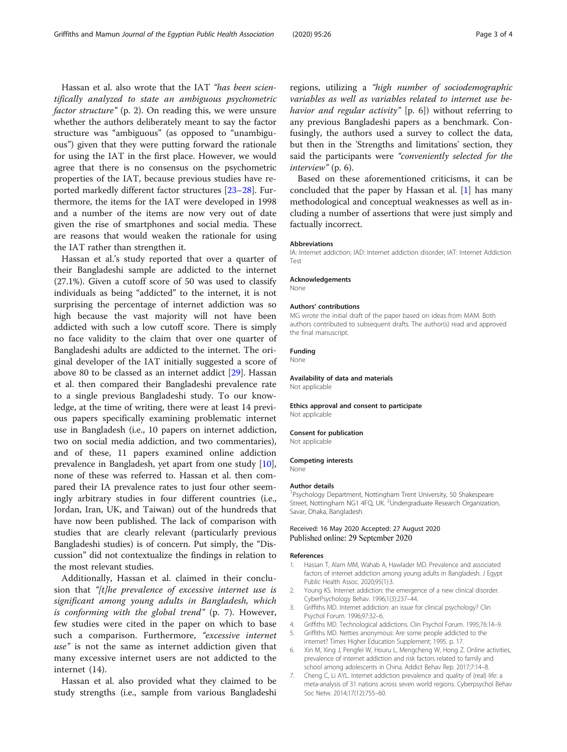<span id="page-2-0"></span>Hassan et al. also wrote that the IAT "has been scientifically analyzed to state an ambiguous psychometric factor structure" (p. 2). On reading this, we were unsure whether the authors deliberately meant to say the factor structure was "ambiguous" (as opposed to "unambiguous") given that they were putting forward the rationale for using the IAT in the first place. However, we would agree that there is no consensus on the psychometric properties of the IAT, because previous studies have reported markedly different factor structures [[23](#page-3-0)–[28](#page-3-0)]. Furthermore, the items for the IAT were developed in 1998 and a number of the items are now very out of date given the rise of smartphones and social media. These are reasons that would weaken the rationale for using the IAT rather than strengthen it.

Hassan et al.'s study reported that over a quarter of their Bangladeshi sample are addicted to the internet (27.1%). Given a cutoff score of 50 was used to classify individuals as being "addicted" to the internet, it is not surprising the percentage of internet addiction was so high because the vast majority will not have been addicted with such a low cutoff score. There is simply no face validity to the claim that over one quarter of Bangladeshi adults are addicted to the internet. The original developer of the IAT initially suggested a score of above 80 to be classed as an internet addict [[29\]](#page-3-0). Hassan et al. then compared their Bangladeshi prevalence rate to a single previous Bangladeshi study. To our knowledge, at the time of writing, there were at least 14 previous papers specifically examining problematic internet use in Bangladesh (i.e., 10 papers on internet addiction, two on social media addiction, and two commentaries), and of these, 11 papers examined online addiction prevalence in Bangladesh, yet apart from one study [\[10](#page-3-0)], none of these was referred to. Hassan et al. then compared their IA prevalence rates to just four other seemingly arbitrary studies in four different countries (i.e., Jordan, Iran, UK, and Taiwan) out of the hundreds that have now been published. The lack of comparison with studies that are clearly relevant (particularly previous Bangladeshi studies) is of concern. Put simply, the "Discussion" did not contextualize the findings in relation to the most relevant studies.

Additionally, Hassan et al. claimed in their conclusion that "[t]he prevalence of excessive internet use is significant among young adults in Bangladesh, which is conforming with the global trend" (p. 7). However, few studies were cited in the paper on which to base such a comparison. Furthermore, "excessive internet use" is not the same as internet addiction given that many excessive internet users are not addicted to the internet (14).

Hassan et al. also provided what they claimed to be study strengths (i.e., sample from various Bangladeshi regions, utilizing a "high number of sociodemographic variables as well as variables related to internet use behavior and regular activity" [p. 6]) without referring to any previous Bangladeshi papers as a benchmark. Confusingly, the authors used a survey to collect the data, but then in the 'Strengths and limitations' section, they said the participants were "conveniently selected for the interview" (p. 6).

Based on these aforementioned criticisms, it can be concluded that the paper by Hassan et al. [1] has many methodological and conceptual weaknesses as well as including a number of assertions that were just simply and factually incorrect.

#### Abbreviations

IA: Internet addiction; IAD: Internet addiction disorder; IAT: Internet Addiction Test

#### Acknowledgements

None

#### Authors' contributions

MG wrote the initial draft of the paper based on ideas from MAM. Both authors contributed to subsequent drafts. The author(s) read and approved the final manuscript.

# Funding

None

# Availability of data and materials

Not applicable

Ethics approval and consent to participate Not applicable

#### Consent for publication

Not applicable

#### Competing interests

None

#### Author details

<sup>1</sup>Psychology Department, Nottingham Trent University, 50 Shakespeare Street, Nottingham NG1 4FQ, UK. <sup>2</sup>Undergraduate Research Organization Savar, Dhaka, Bangladesh.

### Received: 16 May 2020 Accepted: 27 August 2020 Published online: 29 September 2020

#### References

- 1. Hassan T, Alam MM, Wahab A, Hawlader MD. Prevalence and associated factors of internet addiction among young adults in Bangladesh. J Egypt Public Health Assoc. 2020;95(1):3.
- 2. Young KS. Internet addiction: the emergence of a new clinical disorder. CyberPsychology Behav. 1996;1(3):237–44.
- 3. Griffiths MD. Internet addiction: an issue for clinical psychology? Clin Psychol Forum. 1996;97:32–6.
- 4. Griffiths MD. Technological addictions. Clin Psychol Forum. 1995;76:14–9.
- 5. Griffiths MD. Netties anonymous: Are some people addicted to the internet? Times Higher Education Supplement; 1995. p. 17.
- 6. Xin M, Xing J, Pengfei W, Houru L, Mengcheng W, Hong Z. Online activities, prevalence of internet addiction and risk factors related to family and school among adolescents in China. Addict Behav Rep. 2017;7:14–8.
- 7. Cheng C, Li AYL. Internet addiction prevalence and quality of (real) life: a meta-analysis of 31 nations across seven world regions. Cyberpsychol Behav Soc Netw. 2014;17(12):755–60.